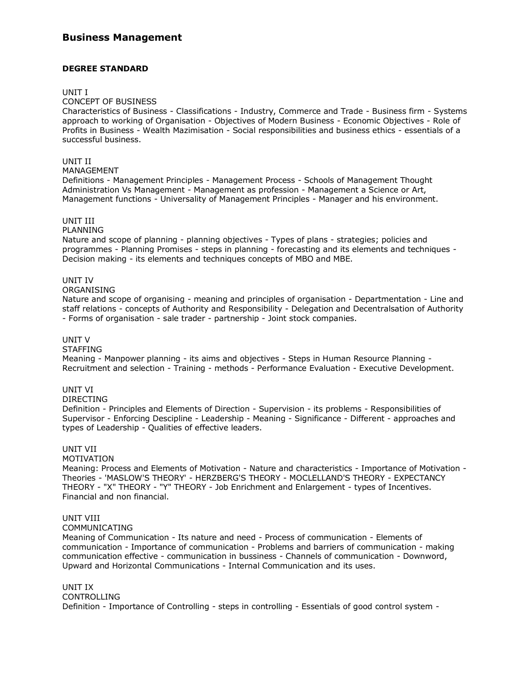# **Business Management**

## **DEGREE STANDARD**

#### UNIT I

### CONCEPT OF BUSINESS

Characteristics of Business - Classifications - Industry, Commerce and Trade - Business firm - Systems approach to working of Organisation - Objectives of Modern Business - Economic Objectives - Role of Profits in Business - Wealth Mazimisation - Social responsibilities and business ethics - essentials of a successful business.

# UNIT II

# MANAGEMENT

Definitions - Management Principles - Management Process - Schools of Management Thought Administration Vs Management - Management as profession - Management a Science or Art, Management functions - Universality of Management Principles - Manager and his environment.

## UNIT III

#### PLANNING

Nature and scope of planning - planning objectives - Types of plans - strategies; policies and programmes - Planning Promises - steps in planning - forecasting and its elements and techniques - Decision making - its elements and techniques concepts of MBO and MBE.

## UNIT IV

## ORGANISING

Nature and scope of organising - meaning and principles of organisation - Departmentation - Line and staff relations - concepts of Authority and Responsibility - Delegation and Decentralsation of Authority - Forms of organisation - sale trader - partnership - Joint stock companies.

## UNIT V

#### STAFFING

Meaning - Manpower planning - its aims and objectives - Steps in Human Resource Planning - Recruitment and selection - Training - methods - Performance Evaluation - Executive Development.

### UNIT VI

#### DIRECTING

Definition - Principles and Elements of Direction - Supervision - its problems - Responsibilities of Supervisor - Enforcing Descipline - Leadership - Meaning - Significance - Different - approaches and types of Leadership - Qualities of effective leaders.

## UNIT VII

#### MOTIVATION

Meaning: Process and Elements of Motivation - Nature and characteristics - Importance of Motivation - Theories - 'MASLOW'S THEORY' - HERZBERG'S THEORY - MOCLELLAND'S THEORY - EXPECTANCY THEORY - "X" THEORY - "Y" THEORY - Job Enrichment and Enlargement - types of Incentives. Financial and non financial.

#### UNIT VIII

# COMMUNICATING

Meaning of Communication - Its nature and need - Process of communication - Elements of communication - Importance of communication - Problems and barriers of communication - making communication effective - communication in bussiness - Channels of communication - Downword, Upward and Horizontal Communications - Internal Communication and its uses.

#### UNIT IX

CONTROLLING Definition - Importance of Controlling - steps in controlling - Essentials of good control system -